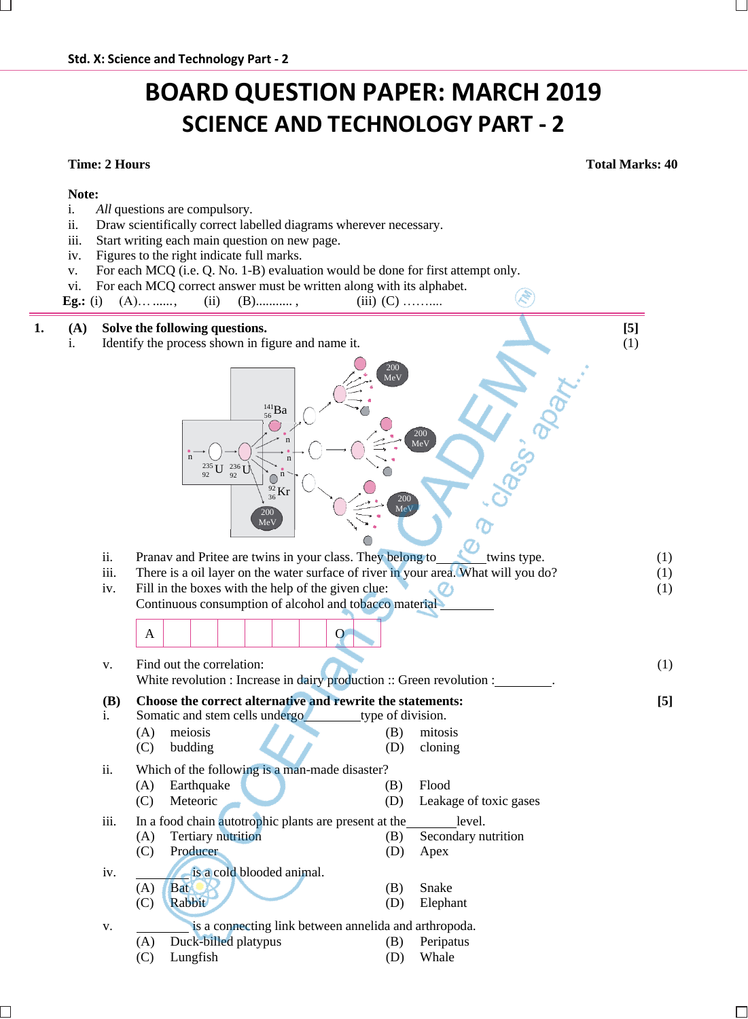i. *All* questions are compulsory.

iii. Start writing each main question on new page. iv. Figures to the right indicate full marks.

ii. Draw scientifically correct labelled diagrams wherever necessary.

# **BOARD QUESTION PAPER: MARCH 2019 SCIENCE AND TECHNOLOGY PART - 2**

**Note:**

**Time: 2 Hours Total Marks: 40**

(1)

**[5]**

- v. For each MCQ (i.e. Q. No. 1-B) evaluation would be done for first attempt only. vi. For each MCQ correct answer must be written along with its alphabet. **Eg.:** (i) (A)… ……, (ii) (B)… ……, (iii) (C)……… **1. (A) Solve the following questions. [5]** i. Identify the process shown in figure and name it. (1) ii. Pranav and Pritee are twins in your class. They belong to twins type. (1) iii. There is a oil layer on the water surface of river in your area. What will you do? (1) iv. Fill in the boxes with the help of the given clue:  $\mathcal{O}_1$  (1) Continuous consumption of alcohol and tobacco material A | | | | | | | O v. Find out the correlation: White revolution : Increase in dairy production :: Green revolution : **(B)** i. **Choose the correct alternative and rewrite the statements:** Somatic and stem cells undergo type of division. (A) meiosis (B) mitosis (C) budding (D) cloning ii. Which of the following is a man-made disaster? (A) Earthquake (B) Flood 200 MeV  $^{141}_{56}Ba$ 200 MeV n n n  $^{235}_{92}$ U  $^{236}_{92}$ U n  $36$ 200 MeV  $\frac{92}{36}$ Kr  $\Big| \frac{92}{200}$ MeV
	- (C) Meteoric (D) Leakage of toxic gases iii. In a food chain autotrophic plants are present at the level. (A) Tertiary nutrition (B) Secondary nutrition (C) Producer (D) Apex iv. is a cold blooded animal. (A) Bat (B) Snake
		- (C) Rabbit (D) Elephant v. is a connecting link between annelida and arthropoda. (A) Duck-billed platypus (B) Peripatus
			- (C) Lungfish (D) Whale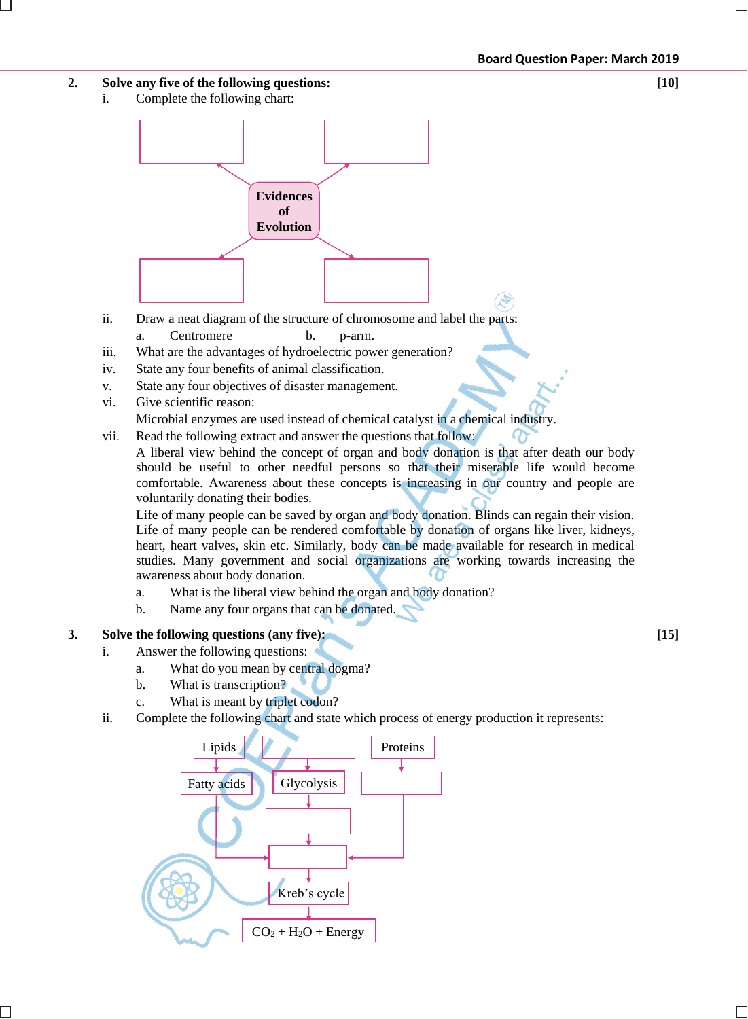### **2. Solve any five of the following questions: [10]**

i. Complete the following chart:



- ii. Draw a neat diagram of the structure of chromosome and label the parts: a. Centromere b. p-arm.
- iii. What are the advantages of hydroelectric power generation?
- iv. State any four benefits of animal classification.
- v. State any four objectives of disaster management.
- vi. Give scientific reason: Microbial enzymes are used instead of chemical catalyst in a chemical industry.
- vii. Read the following extract and answer the questions that follow:
	- A liberal view behind the concept of organ and body donation is that after death our body should be useful to other needful persons so that their miserable life would become comfortable. Awareness about these concepts is increasing in our country and people are voluntarily donating their bodies.

Life of many people can be saved by organ and body donation. Blinds can regain their vision. Life of many people can be rendered comfortable by donation of organs like liver, kidneys, heart, heart valves, skin etc. Similarly, body can be made available for research in medical studies. Many government and social organizations are working towards increasing the awareness about body donation.

- a. What is the liberal view behind the organ and body donation?
- b. Name any four organs that can be donated.

#### **3. Solve the following questions (any five): [15]**

- i. Answer the following questions:
	- a. What do you mean by central dogma?
	- b. What is transcription?
	- c. What is meant by triplet codon?
- ii. Complete the following chart and state which process of energy production it represents:

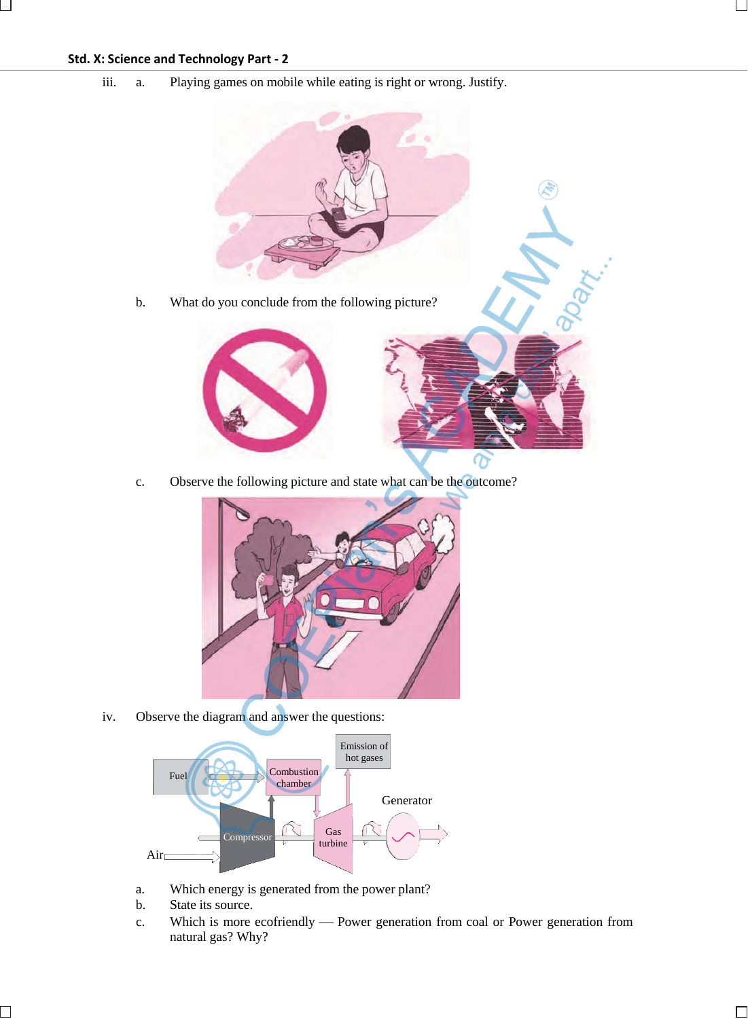## **Std. X: Science and Technology Part - 2**

iii. a. Playing games on mobile while eating is right or wrong. Justify.



c. Observe the following picture and state what can be the outcome?



iv. Observe the diagram and answer the questions:



- a. Which energy is generated from the power plant?
- b. State its source.
- c. Which is more ecofriendly Power generation from coal or Power generation from natural gas? Why?